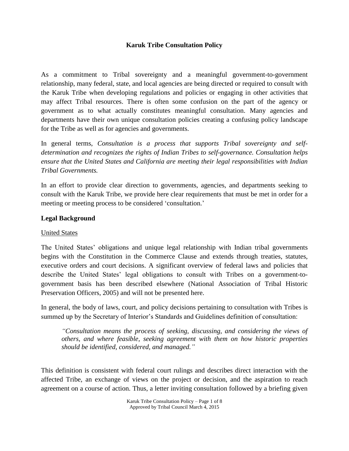### **Karuk Tribe Consultation Policy**

As a commitment to Tribal sovereignty and a meaningful government-to-government relationship, many federal, state, and local agencies are being directed or required to consult with the Karuk Tribe when developing regulations and policies or engaging in other activities that may affect Tribal resources. There is often some confusion on the part of the agency or government as to what actually constitutes meaningful consultation. Many agencies and departments have their own unique consultation policies creating a confusing policy landscape for the Tribe as well as for agencies and governments.

In general terms, *Consultation is a process that supports Tribal sovereignty and selfdetermination and recognizes the rights of Indian Tribes to self-governance. Consultation helps ensure that the United States and California are meeting their legal responsibilities with Indian Tribal Governments.*

In an effort to provide clear direction to governments, agencies, and departments seeking to consult with the Karuk Tribe, we provide here clear requirements that must be met in order for a meeting or meeting process to be considered 'consultation.'

### **Legal Background**

#### United States

The United States' obligations and unique legal relationship with Indian tribal governments begins with the Constitution in the Commerce Clause and extends through treaties, statutes, executive orders and court decisions. A significant overview of federal laws and policies that describe the United States' legal obligations to consult with Tribes on a government-togovernment basis has been described elsewhere (National Association of Tribal Historic Preservation Officers, 2005) and will not be presented here.

In general, the body of laws, court, and policy decisions pertaining to consultation with Tribes is summed up by the Secretary of Interior's Standards and Guidelines definition of consultation:

*"Consultation means the process of seeking, discussing, and considering the views of others, and where feasible, seeking agreement with them on how historic properties should be identified, considered, and managed."*

This definition is consistent with federal court rulings and describes direct interaction with the affected Tribe, an exchange of views on the project or decision, and the aspiration to reach agreement on a course of action. Thus, a letter inviting consultation followed by a briefing given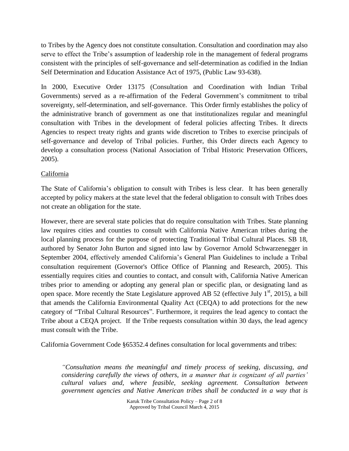to Tribes by the Agency does not constitute consultation. Consultation and coordination may also serve to effect the Tribe's assumption of leadership role in the management of federal programs consistent with the principles of self-governance and self-determination as codified in the Indian Self Determination and Education Assistance Act of 1975, (Public Law 93-638).

In 2000, Executive Order 13175 (Consultation and Coordination with Indian Tribal Governments) served as a re-affirmation of the Federal Government's commitment to tribal sovereignty, self-determination, and self-governance. This Order firmly establishes the policy of the administrative branch of government as one that institutionalizes regular and meaningful consultation with Tribes in the development of federal policies affecting Tribes. It directs Agencies to respect treaty rights and grants wide discretion to Tribes to exercise principals of self-governance and develop of Tribal policies. Further, this Order directs each Agency to develop a consultation process (National Association of Tribal Historic Preservation Officers, 2005).

## California

The State of California's obligation to consult with Tribes is less clear. It has been generally accepted by policy makers at the state level that the federal obligation to consult with Tribes does not create an obligation for the state.

However, there are several state policies that do require consultation with Tribes. State planning law requires cities and counties to consult with California Native American tribes during the local planning process for the purpose of protecting Traditional Tribal Cultural Places. SB 18, authored by Senator John Burton and signed into law by Governor Arnold Schwarzenegger in September 2004, effectively amended California's General Plan Guidelines to include a Tribal consultation requirement (Governor's Office Office of Planning and Research, 2005). This essentially requires cities and counties to contact, and consult with, California Native American tribes prior to amending or adopting any general plan or specific plan, or designating land as open space. More recently the State Legislature approved AB 52 (effective July  $1<sup>st</sup>$ , 2015), a bill that amends the California Environmental Quality Act (CEQA) to add protections for the new category of "Tribal Cultural Resources". Furthermore, it requires the lead agency to contact the Tribe about a CEQA project. If the Tribe requests consultation within 30 days, the lead agency must consult with the Tribe.

California Government Code §65352.4 defines consultation for local governments and tribes:

*"Consultation means the meaningful and timely process of seeking, discussing, and considering carefully the views of others, in a manner that is cognizant of all parties' cultural values and, where feasible, seeking agreement. Consultation between government agencies and Native American tribes shall be conducted in a way that is* 

> Karuk Tribe Consultation Policy – Page 2 of 8 Approved by Tribal Council March 4, 2015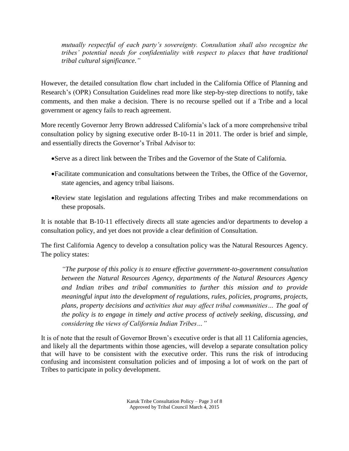*mutually respectful of each party's sovereignty. Consultation shall also recognize the tribes' potential needs for confidentiality with respect to places that have traditional tribal cultural significance."*

However, the detailed consultation flow chart included in the California Office of Planning and Research's (OPR) Consultation Guidelines read more like step-by-step directions to notify, take comments, and then make a decision. There is no recourse spelled out if a Tribe and a local government or agency fails to reach agreement.

More recently Governor Jerry Brown addressed California's lack of a more comprehensive tribal consultation policy by signing executive order B-10-11 in 2011. The order is brief and simple, and essentially directs the Governor's Tribal Advisor to:

- Serve as a direct link between the Tribes and the Governor of the State of California.
- Facilitate communication and consultations between the Tribes, the Office of the Governor, state agencies, and agency tribal liaisons.
- Review state legislation and regulations affecting Tribes and make recommendations on these proposals.

It is notable that B-10-11 effectively directs all state agencies and/or departments to develop a consultation policy, and yet does not provide a clear definition of Consultation.

The first California Agency to develop a consultation policy was the Natural Resources Agency. The policy states:

*"The purpose of this policy is to ensure effective government-to-government consultation between the Natural Resources Agency, departments of the Natural Resources Agency and Indian tribes and tribal communities to further this mission and to provide meaningful input into the development of regulations, rules, policies, programs, projects, plans, property decisions and activities that may affect tribal communities… The goal of the policy is to engage in timely and active process of actively seeking, discussing, and considering the views of California Indian Tribes…"*

It is of note that the result of Governor Brown's executive order is that all 11 California agencies, and likely all the departments within those agencies, will develop a separate consultation policy that will have to be consistent with the executive order. This runs the risk of introducing confusing and inconsistent consultation policies and of imposing a lot of work on the part of Tribes to participate in policy development.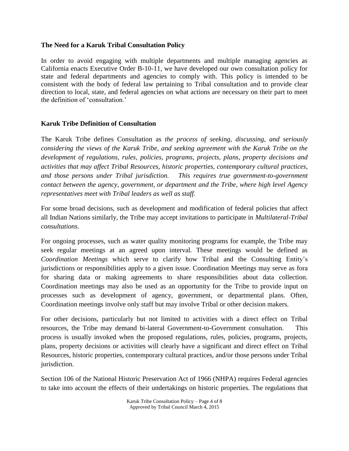### **The Need for a Karuk Tribal Consultation Policy**

In order to avoid engaging with multiple departments and multiple managing agencies as California enacts Executive Order B-10-11, we have developed our own consultation policy for state and federal departments and agencies to comply with. This policy is intended to be consistent with the body of federal law pertaining to Tribal consultation and to provide clear direction to local, state, and federal agencies on what actions are necessary on their part to meet the definition of 'consultation.'

### **Karuk Tribe Definition of Consultation**

The Karuk Tribe defines Consultation as *the process of seeking, discussing, and seriously considering the views of the Karuk Tribe, and seeking agreement with the Karuk Tribe on the development of regulations, rules, policies, programs, projects, plans, property decisions and activities that may affect Tribal Resources, historic properties, contemporary cultural practices, and those persons under Tribal jurisdiction. This requires true government-to-government contact between the agency, government, or department and the Tribe, where high level Agency representatives meet with Tribal leaders as well as staff.* 

For some broad decisions, such as development and modification of federal policies that affect all Indian Nations similarly, the Tribe may accept invitations to participate in *Multilateral-Tribal consultations.*

For ongoing processes, such as water quality monitoring programs for example, the Tribe may seek regular meetings at an agreed upon interval. These meetings would be defined as *Coordination Meetings* which serve to clarify how Tribal and the Consulting Entity's jurisdictions or responsibilities apply to a given issue. Coordination Meetings may serve as fora for sharing data or making agreements to share responsibilities about data collection. Coordination meetings may also be used as an opportunity for the Tribe to provide input on processes such as development of agency, government, or departmental plans. Often, Coordination meetings involve only staff but may involve Tribal or other decision makers.

For other decisions, particularly but not limited to activities with a direct effect on Tribal resources, the Tribe may demand bi-lateral Government-to-Government consultation. This process is usually invoked when the proposed regulations, rules, policies, programs, projects, plans, property decisions or activities will clearly have a significant and direct effect on Tribal Resources, historic properties, contemporary cultural practices, and/or those persons under Tribal jurisdiction.

Section 106 of the National Historic Preservation Act of 1966 (NHPA) requires Federal agencies to take into account the effects of their undertakings on historic properties. The regulations that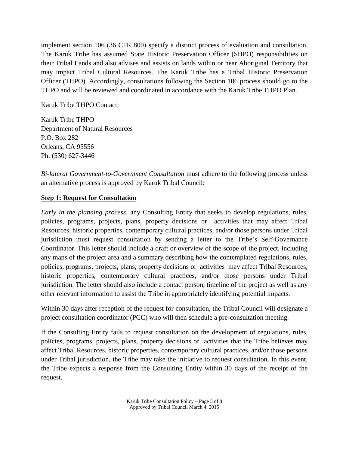implement section 106 (36 CFR 800) specify a distinct process of evaluation and consultation. The Karuk Tribe has assumed State Historic Preservation Officer (SHPO) responsibilities on their Tribal Lands and also advises and assists on lands within or near Aboriginal Territory that may impact Tribal Cultural Resources. The Karuk Tribe has a Tribal Historic Preservation Officer (THPO). Accordingly, consultations following the Section 106 process should go to the THPO and will be reviewed and coordinated in accordance with the Karuk Tribe THPO Plan.

Karuk Tribe THPO Contact:

Karuk Tribe THPO Department of Natural Resources P.O. Box 282 Orleans, CA 95556 Ph: (530) 627-3446

*Bi-lateral Government-to-Government Consultation* must adhere to the following process unless an alternative process is approved by Karuk Tribal Council:

### **Step 1: Request for Consultation**

*Early in the planning process*, any Consulting Entity that seeks to develop regulations, rules, policies, programs, projects, plans, property decisions or activities that may affect Tribal Resources, historic properties, contemporary cultural practices, and/or those persons under Tribal jurisdiction must request consultation by sending a letter to the Tribe's Self-Governance Coordinator. This letter should include a draft or overview of the scope of the project, including any maps of the project area and a summary describing how the contemplated regulations, rules, policies, programs, projects, plans, property decisions or activities may affect Tribal Resources, historic properties, contemporary cultural practices, and/or those persons under Tribal jurisdiction. The letter should also include a contact person, timeline of the project as well as any other relevant information to assist the Tribe in appropriately identifying potential impacts.

Within 30 days after reception of the request for consultation, the Tribal Council will designate a project consultation coordinator (PCC) who will then schedule a pre-consultation meeting.

If the Consulting Entity fails to request consultation on the development of regulations, rules, policies, programs, projects, plans, property decisions or activities that the Tribe believes may affect Tribal Resources, historic properties, contemporary cultural practices, and/or those persons under Tribal jurisdiction, the Tribe may take the initiative to request consultation. In this event, the Tribe expects a response from the Consulting Entity within 30 days of the receipt of the request.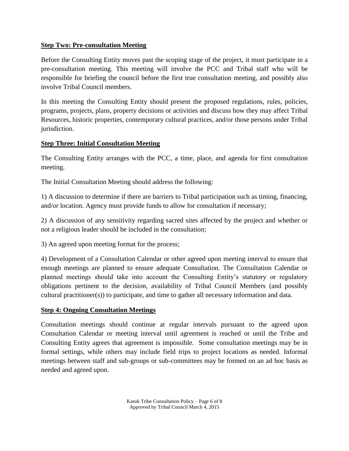## **Step Two: Pre-consultation Meeting**

Before the Consulting Entity moves past the scoping stage of the project, it must participate in a pre-consultation meeting. This meeting will involve the PCC and Tribal staff who will be responsible for briefing the council before the first true consultation meeting, and possibly also involve Tribal Council members.

In this meeting the Consulting Entity should present the proposed regulations, rules, policies, programs, projects, plans, property decisions or activities and discuss how they may affect Tribal Resources, historic properties, contemporary cultural practices, and/or those persons under Tribal jurisdiction.

## **Step Three: Initial Consultation Meeting**

The Consulting Entity arranges with the PCC, a time, place, and agenda for first consultation meeting.

The Initial Consultation Meeting should address the following:

1) A discussion to determine if there are barriers to Tribal participation such as timing, financing, and/or location. Agency must provide funds to allow for consultation if necessary;

2) A discussion of any sensitivity regarding sacred sites affected by the project and whether or not a religious leader should be included in the consultation;

3) An agreed upon meeting format for the process;

4) Development of a Consultation Calendar or other agreed upon meeting interval to ensure that enough meetings are planned to ensure adequate Consultation. The Consultation Calendar or planned meetings should take into account the Consulting Entity's statutory or regulatory obligations pertinent to the decision, availability of Tribal Council Members (and possibly cultural practitioner(s)) to participate, and time to gather all necessary information and data.

### **Step 4: Ongoing Consultation Meetings**

Consultation meetings should continue at regular intervals pursuant to the agreed upon Consultation Calendar or meeting interval until agreement is reached or until the Tribe and Consulting Entity agrees that agreement is impossible. Some consultation meetings may be in formal settings, while others may include field trips to project locations as needed. Informal meetings between staff and sub-groups or sub-committees may be formed on an ad hoc basis as needed and agreed upon.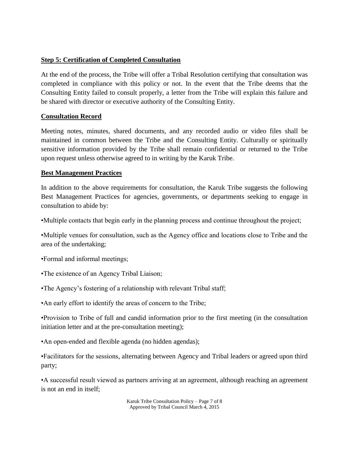# **Step 5: Certification of Completed Consultation**

At the end of the process, the Tribe will offer a Tribal Resolution certifying that consultation was completed in compliance with this policy or not. In the event that the Tribe deems that the Consulting Entity failed to consult properly, a letter from the Tribe will explain this failure and be shared with director or executive authority of the Consulting Entity.

# **Consultation Record**

Meeting notes, minutes, shared documents, and any recorded audio or video files shall be maintained in common between the Tribe and the Consulting Entity. Culturally or spiritually sensitive information provided by the Tribe shall remain confidential or returned to the Tribe upon request unless otherwise agreed to in writing by the Karuk Tribe.

# **Best Management Practices**

In addition to the above requirements for consultation, the Karuk Tribe suggests the following Best Management Practices for agencies, governments, or departments seeking to engage in consultation to abide by:

•Multiple contacts that begin early in the planning process and continue throughout the project;

•Multiple venues for consultation, such as the Agency office and locations close to Tribe and the area of the undertaking;

•Formal and informal meetings;

- •The existence of an Agency Tribal Liaison;
- •The Agency's fostering of a relationship with relevant Tribal staff;
- •An early effort to identify the areas of concern to the Tribe;

•Provision to Tribe of full and candid information prior to the first meeting (in the consultation initiation letter and at the pre-consultation meeting);

•An open-ended and flexible agenda (no hidden agendas);

•Facilitators for the sessions, alternating between Agency and Tribal leaders or agreed upon third party;

•A successful result viewed as partners arriving at an agreement, although reaching an agreement is not an end in itself;